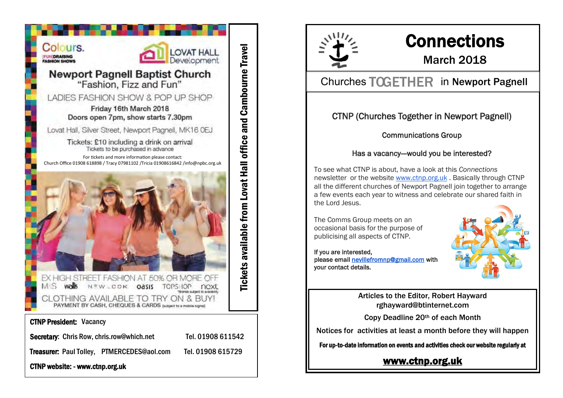

CTNP website: - www.ctnp.org.uk



# **Connections**

### March 2018

### Churches TOGETHER in Newport Pagnell

#### CTNP (Churches Together in Newport Pagnell)

#### Communications Group

#### Has a vacancy--would you be interested?

To see what CTNP is about, have a look at this *Connections* newsletter or the website [www.ctnp.org.uk](http://www.ctnp.org.uk/) . Basically through CTNP all the different churches of Newport Pagnell join together to arrange a few events each year to witness and celebrate our shared faith in the Lord Jesus.

The Comms Group meets on an occasional basis for the purpose of publicising all aspects of CTNP.

#### If you are interested,

please email [nevillefromnp@gmail.com](mailto:nevillefromnp@gmail.com) with your contact details.



Articles to the Editor, Robert Hayward rghayward@btinternet.com

Copy Deadline 20th of each Month

Notices for activities at least a month before they will happen

For up-to-date information on events and activities check our website regularly at

#### [www.ctnp.org.uk](http://www.ctnp.org.uk)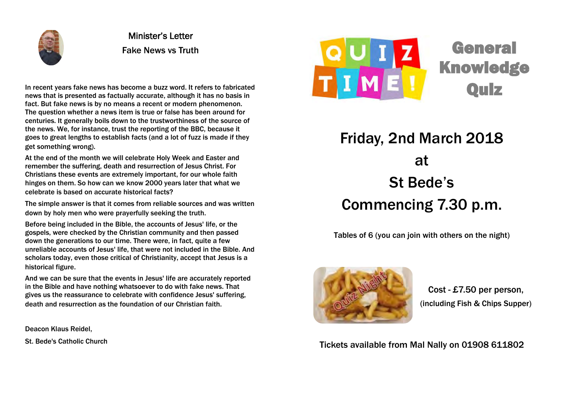

Minister's Letter Fake News vs Truth

In recent years fake news has become a buzz word. It refers to fabricated news that is presented as factually accurate, although it has no basis in fact. But fake news is by no means a recent or modern phenomenon. The question whether a news item is true or false has been around for centuries. It generally boils down to the trustworthiness of the source of the news. We, for instance, trust the reporting of the BBC, because it goes to great lengths to establish facts (and a lot of fuzz is made if they get something wrong).

At the end of the month we will celebrate Holy Week and Easter and remember the suffering, death and resurrection of Jesus Christ. For Christians these events are extremely important, for our whole faith hinges on them. So how can we know 2000 years later that what we celebrate is based on accurate historical facts?

The simple answer is that it comes from reliable sources and was written down by holy men who were prayerfully seeking the truth.

Before being included in the Bible, the accounts of Jesus' life, or the gospels, were checked by the Christian community and then passed down the generations to our time. There were, in fact, quite a few unreliable accounts of Jesus' life, that were not included in the Bible. And scholars today, even those critical of Christianity, accept that Jesus is a historical figure.

And we can be sure that the events in Jesus' life are accurately reported in the Bible and have nothing whatsoever to do with fake news. That gives us the reassurance to celebrate with confidence Jesus' suffering, death and resurrection as the foundation of our Christian faith.

Deacon Klaus Reidel,

St. Bede's Catholic Church



General **Knowledge** Quiz

Friday, 2nd March 2018 at St Bede's Commencing 7.30 p.m.

Tables of 6 (you can join with others on the night)



Cost - £7.50 per person, (including Fish & Chips Supper)

Tickets available from Mal Nally on 01908 611802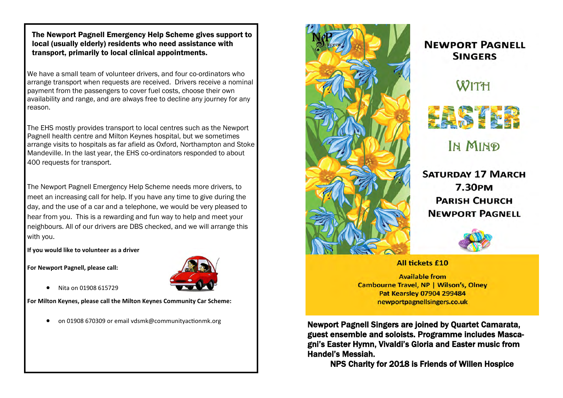The Newport Pagnell Emergency Help Scheme gives support to local (usually elderly) residents who need assistance with transport, primarily to local clinical appointments.

We have a small team of volunteer drivers, and four co-ordinators who arrange transport when requests are received. Drivers receive a nominal payment from the passengers to cover fuel costs, choose their own availability and range, and are always free to decline any journey for any reason.

The EHS mostly provides transport to local centres such as the Newport Pagnell health centre and Milton Keynes hospital, but we sometimes arrange visits to hospitals as far afield as Oxford, Northampton and Stoke Mandeville. In the last year, the EHS co-ordinators responded to about 400 requests for transport.

The Newport Pagnell Emergency Help Scheme needs more drivers, to meet an increasing call for help. If you have any time to give during the day, and the use of a car and a telephone, we would be very pleased to hear from you. This is a rewarding and fun way to help and meet your neighbours. All of our drivers are DBS checked, and we will arrange this with you.

**If you would like to volunteer as a driver**

**For Newport Pagnell, please call:**



• Nita on 01908 615729

**For Milton Keynes, please call the Milton Keynes Community Car Scheme:**



#### **NEWPORT PAGNELL SINGFRS**

## WITH



IN MIND

**SATURDAY 17 MARCH 7.30PM PARISH CHURCH NEWPORT PAGNELL** 



#### **All tickets £10**

**Available from Cambourne Travel, NP | Wilson's, Olney** Pat Kearsley 07904 299484 newportpagnellsingers.co.uk

on 01908 670309 or email vdsmk@communityactionmk.org **Newport Pagnell Singers are joined by Quartet Camarata,** guest ensemble and soloists. Programme includes Mascagni's Easter Hymn, Vivaldi's Gloria and Easter music from Handel's Messiah.

NPS Charity for 2018 is Friends of Willen Hospice